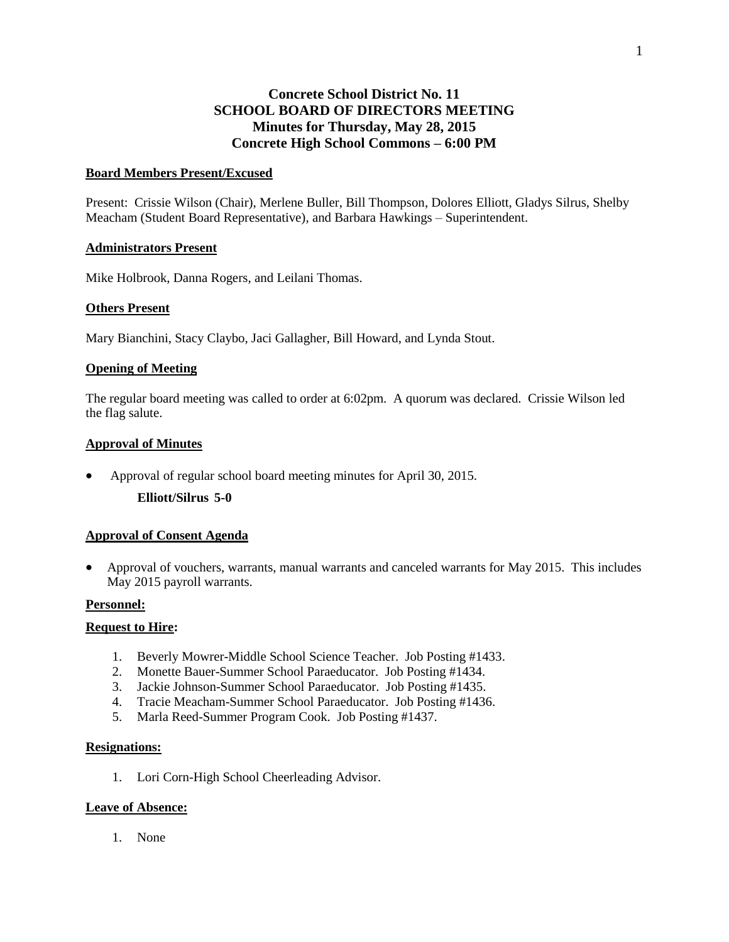# **Concrete School District No. 11 SCHOOL BOARD OF DIRECTORS MEETING Minutes for Thursday, May 28, 2015 Concrete High School Commons – 6:00 PM**

## **Board Members Present/Excused**

Present: Crissie Wilson (Chair), Merlene Buller, Bill Thompson, Dolores Elliott, Gladys Silrus, Shelby Meacham (Student Board Representative), and Barbara Hawkings – Superintendent.

## **Administrators Present**

Mike Holbrook, Danna Rogers, and Leilani Thomas.

## **Others Present**

Mary Bianchini, Stacy Claybo, Jaci Gallagher, Bill Howard, and Lynda Stout.

## **Opening of Meeting**

The regular board meeting was called to order at 6:02pm. A quorum was declared. Crissie Wilson led the flag salute.

## **Approval of Minutes**

Approval of regular school board meeting minutes for April 30, 2015.

**Elliott/Silrus 5-0**

## **Approval of Consent Agenda**

 Approval of vouchers, warrants, manual warrants and canceled warrants for May 2015. This includes May 2015 payroll warrants.

## **Personnel:**

## **Request to Hire:**

- 1. Beverly Mowrer-Middle School Science Teacher. Job Posting #1433.
- 2. Monette Bauer-Summer School Paraeducator. Job Posting #1434.
- 3. Jackie Johnson-Summer School Paraeducator. Job Posting #1435.
- 4. Tracie Meacham-Summer School Paraeducator. Job Posting #1436.
- 5. Marla Reed-Summer Program Cook. Job Posting #1437.

## **Resignations:**

1. Lori Corn-High School Cheerleading Advisor.

## **Leave of Absence:**

1. None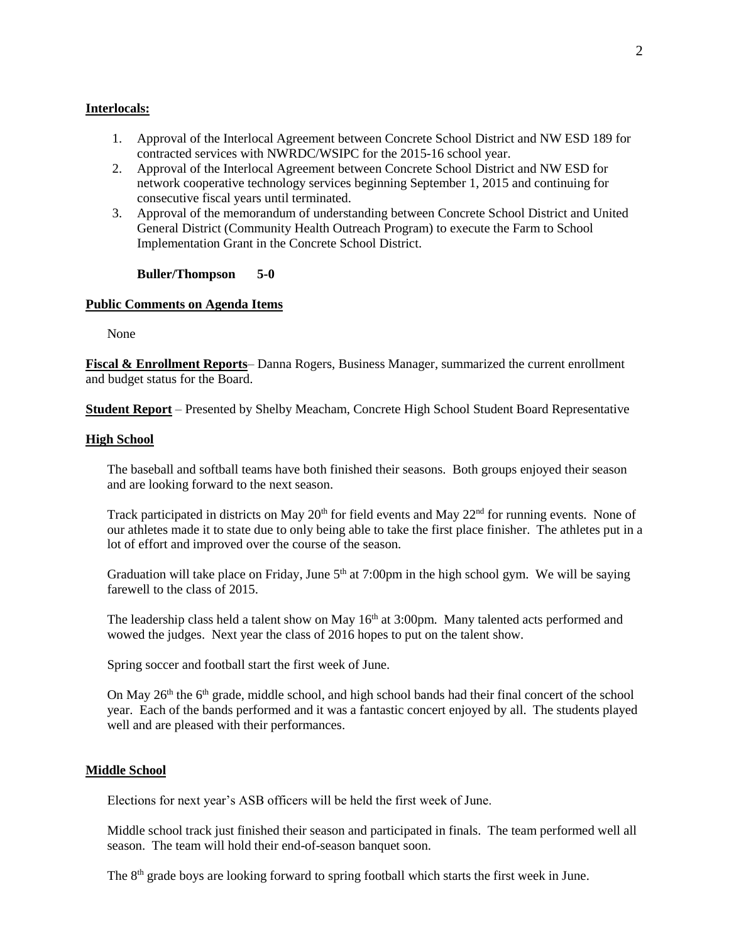## **Interlocals:**

- 1. Approval of the Interlocal Agreement between Concrete School District and NW ESD 189 for contracted services with NWRDC/WSIPC for the 2015-16 school year.
- 2. Approval of the Interlocal Agreement between Concrete School District and NW ESD for network cooperative technology services beginning September 1, 2015 and continuing for consecutive fiscal years until terminated.
- 3. Approval of the memorandum of understanding between Concrete School District and United General District (Community Health Outreach Program) to execute the Farm to School Implementation Grant in the Concrete School District.

**Buller/Thompson 5-0**

#### **Public Comments on Agenda Items**

None

**Fiscal & Enrollment Reports**– Danna Rogers, Business Manager, summarized the current enrollment and budget status for the Board.

**Student Report** – Presented by Shelby Meacham, Concrete High School Student Board Representative

#### **High School**

The baseball and softball teams have both finished their seasons. Both groups enjoyed their season and are looking forward to the next season.

Track participated in districts on May  $20<sup>th</sup>$  for field events and May  $22<sup>nd</sup>$  for running events. None of our athletes made it to state due to only being able to take the first place finisher. The athletes put in a lot of effort and improved over the course of the season.

Graduation will take place on Friday, June  $5<sup>th</sup>$  at 7:00pm in the high school gym. We will be saying farewell to the class of 2015.

The leadership class held a talent show on May  $16<sup>th</sup>$  at 3:00pm. Many talented acts performed and wowed the judges. Next year the class of 2016 hopes to put on the talent show.

Spring soccer and football start the first week of June.

On May  $26<sup>th</sup>$  the 6<sup>th</sup> grade, middle school, and high school bands had their final concert of the school year. Each of the bands performed and it was a fantastic concert enjoyed by all. The students played well and are pleased with their performances.

#### **Middle School**

Elections for next year's ASB officers will be held the first week of June.

Middle school track just finished their season and participated in finals. The team performed well all season. The team will hold their end-of-season banquet soon.

The  $8<sup>th</sup>$  grade boys are looking forward to spring football which starts the first week in June.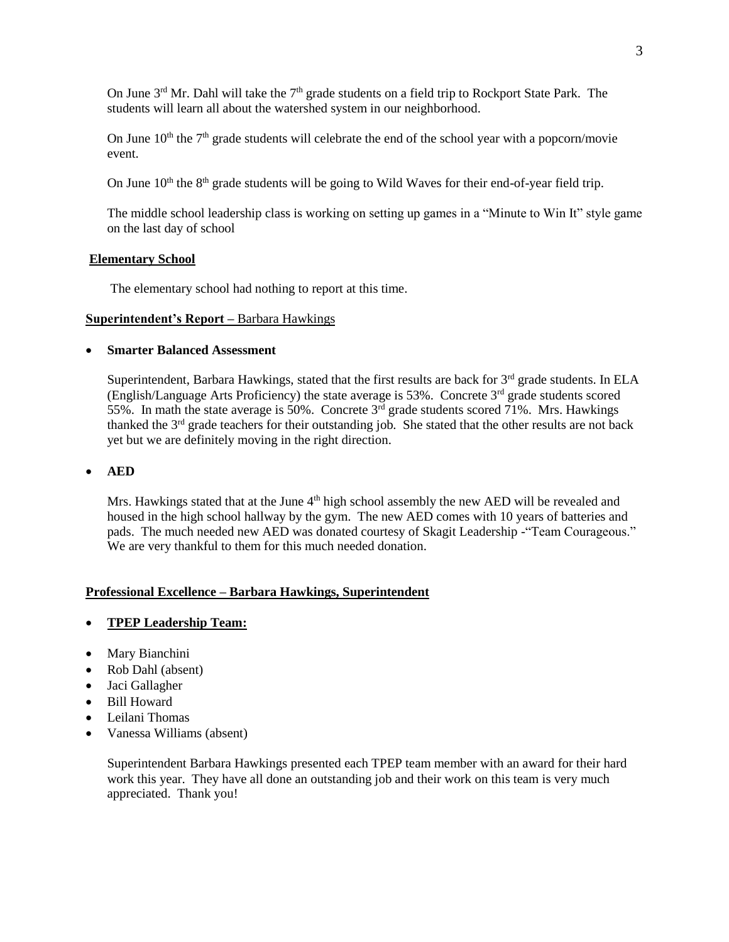On June  $3<sup>rd</sup>$  Mr. Dahl will take the  $7<sup>th</sup>$  grade students on a field trip to Rockport State Park. The students will learn all about the watershed system in our neighborhood.

On June  $10<sup>th</sup>$  the  $7<sup>th</sup>$  grade students will celebrate the end of the school year with a popcorn/movie event.

On June  $10<sup>th</sup>$  the  $8<sup>th</sup>$  grade students will be going to Wild Waves for their end-of-year field trip.

The middle school leadership class is working on setting up games in a "Minute to Win It" style game on the last day of school

#### **Elementary School**

The elementary school had nothing to report at this time.

#### **Superintendent's Report –** Barbara Hawkings

## **Smarter Balanced Assessment**

Superintendent, Barbara Hawkings, stated that the first results are back for 3<sup>rd</sup> grade students. In ELA (English/Language Arts Proficiency) the state average is 53%. Concrete  $3<sup>rd</sup>$  grade students scored 55%. In math the state average is 50%. Concrete  $3<sup>rd</sup>$  grade students scored 71%. Mrs. Hawkings thanked the  $3<sup>rd</sup>$  grade teachers for their outstanding job. She stated that the other results are not back yet but we are definitely moving in the right direction.

## **AED**

Mrs. Hawkings stated that at the June  $4<sup>th</sup>$  high school assembly the new AED will be revealed and housed in the high school hallway by the gym. The new AED comes with 10 years of batteries and pads. The much needed new AED was donated courtesy of Skagit Leadership -"Team Courageous." We are very thankful to them for this much needed donation.

## **Professional Excellence – Barbara Hawkings, Superintendent**

# **TPEP Leadership Team:**

- Mary Bianchini
- Rob Dahl (absent)
- Jaci Gallagher
- Bill Howard
- Leilani Thomas
- Vanessa Williams (absent)

Superintendent Barbara Hawkings presented each TPEP team member with an award for their hard work this year. They have all done an outstanding job and their work on this team is very much appreciated. Thank you!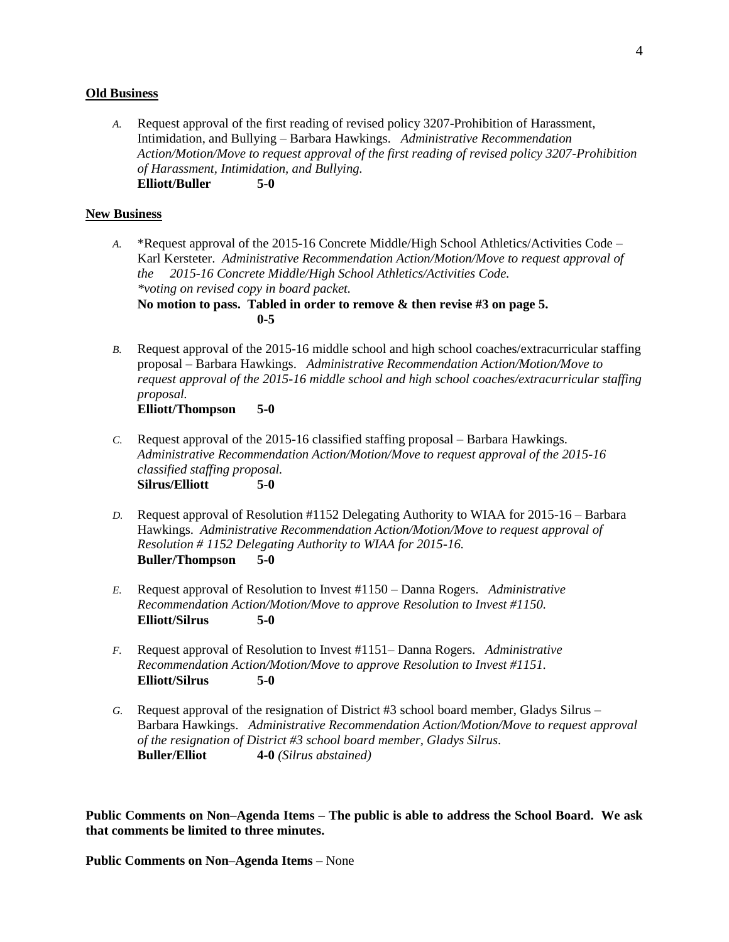#### **Old Business**

*A.* Request approval of the first reading of revised policy 3207-Prohibition of Harassment, Intimidation, and Bullying – Barbara Hawkings. *Administrative Recommendation Action/Motion/Move to request approval of the first reading of revised policy 3207-Prohibition of Harassment, Intimidation, and Bullying.* **Elliott/Buller 5-0**

#### **New Business**

- *A.* \*Request approval of the 2015-16 Concrete Middle/High School Athletics/Activities Code Karl Kersteter. *Administrative Recommendation Action/Motion/Move to request approval of the 2015-16 Concrete Middle/High School Athletics/Activities Code. \*voting on revised copy in board packet.* **No motion to pass. Tabled in order to remove & then revise #3 on page 5. 0-5**
- *B.* Request approval of the 2015-16 middle school and high school coaches/extracurricular staffing proposal – Barbara Hawkings. *Administrative Recommendation Action/Motion/Move to request approval of the 2015-16 middle school and high school coaches/extracurricular staffing proposal.* **Elliott/Thompson 5-0**
- *C.* Request approval of the 2015-16 classified staffing proposal Barbara Hawkings. *Administrative Recommendation Action/Motion/Move to request approval of the 2015-16 classified staffing proposal.*  **Silrus/Elliott 5-0**
- *D.* Request approval of Resolution #1152 Delegating Authority to WIAA for 2015-16 Barbara Hawkings. *Administrative Recommendation Action/Motion/Move to request approval of Resolution # 1152 Delegating Authority to WIAA for 2015-16.*  **Buller/Thompson 5-0**
- *E.* Request approval of Resolution to Invest #1150 Danna Rogers. *Administrative Recommendation Action/Motion/Move to approve Resolution to Invest #1150.*  **Elliott/Silrus 5-0**
- *F.* Request approval of Resolution to Invest #1151– Danna Rogers. *Administrative Recommendation Action/Motion/Move to approve Resolution to Invest #1151.*  **Elliott/Silrus 5-0**
- *G.* Request approval of the resignation of District #3 school board member, Gladys Silrus Barbara Hawkings. *Administrative Recommendation Action/Motion/Move to request approval of the resignation of District #3 school board member, Gladys Silrus.* **Buller/Elliot 4-0** *(Silrus abstained)*

**Public Comments on Non–Agenda Items – The public is able to address the School Board. We ask that comments be limited to three minutes.**

**Public Comments on Non–Agenda Items –** None